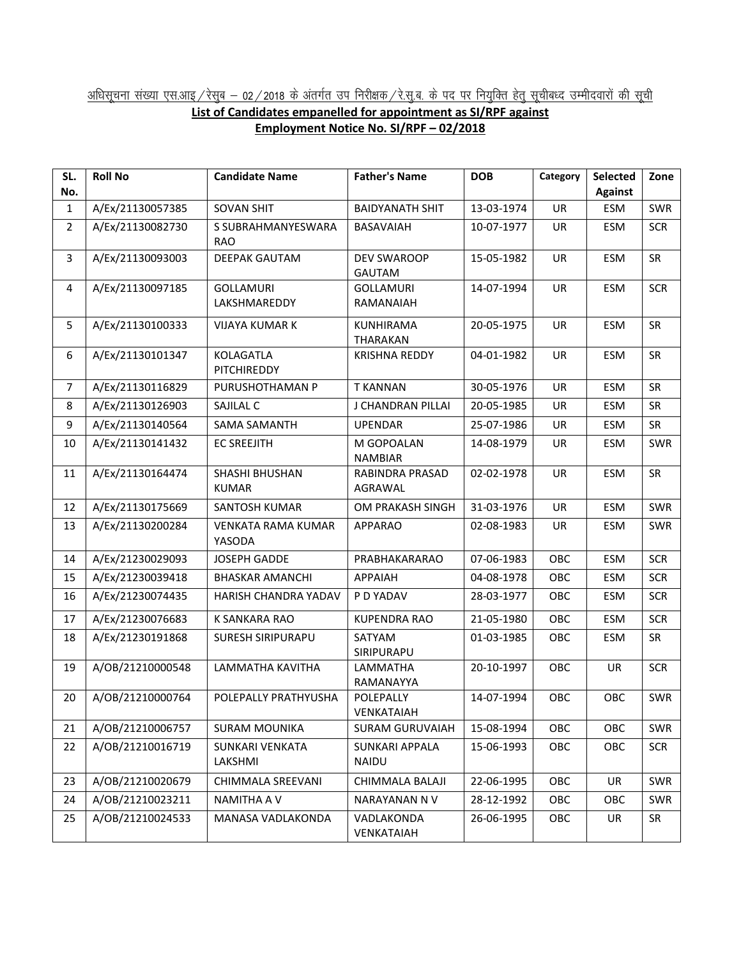## <u>अधिसूचना संख्या एस.आइ / रेसुब – 02 / 2018 के अंतर्गत उप निरीक्षक / रे.सु.ब. के पद पर नियुक्ति हेतु सूचीबध्द उम्मीदवारों की सूची</u> **List of Candidates empanelled for appointment as SI/RPF against Employment Notice No. SI/RPF – 02/2018**

| SL.            | <b>Roll No</b>   | <b>Candidate Name</b>               | <b>Father's Name</b>                | <b>DOB</b> | Category   | <b>Selected</b> | Zone       |
|----------------|------------------|-------------------------------------|-------------------------------------|------------|------------|-----------------|------------|
| No.            |                  |                                     |                                     |            |            | <b>Against</b>  |            |
| $\mathbf{1}$   | A/Ex/21130057385 | <b>SOVAN SHIT</b>                   | <b>BAIDYANATH SHIT</b>              | 13-03-1974 | UR         | ESM             | SWR        |
| $\overline{2}$ | A/Ex/21130082730 | S SUBRAHMANYESWARA<br><b>RAO</b>    | BASAVAIAH                           | 10-07-1977 | <b>UR</b>  | ESM             | <b>SCR</b> |
| 3              | A/Ex/21130093003 | <b>DEEPAK GAUTAM</b>                | DEV SWAROOP<br><b>GAUTAM</b>        | 15-05-1982 | UR         | <b>ESM</b>      | <b>SR</b>  |
| 4              | A/Ex/21130097185 | <b>GOLLAMURI</b><br>LAKSHMAREDDY    | <b>GOLLAMURI</b><br>RAMANAIAH       | 14-07-1994 | UR         | <b>ESM</b>      | <b>SCR</b> |
| 5              | A/Ex/21130100333 | <b>VIJAYA KUMAR K</b>               | <b>KUNHIRAMA</b><br><b>THARAKAN</b> | 20-05-1975 | UR         | ESM             | <b>SR</b>  |
| 6              | A/Ex/21130101347 | KOLAGATLA<br><b>PITCHIREDDY</b>     | <b>KRISHNA REDDY</b>                | 04-01-1982 | UR         | ESM             | SR         |
| $\overline{7}$ | A/Ex/21130116829 | PURUSHOTHAMAN P                     | <b>T KANNAN</b>                     | 30-05-1976 | <b>UR</b>  | <b>ESM</b>      | <b>SR</b>  |
| 8              | A/Ex/21130126903 | SAJILAL C                           | J CHANDRAN PILLAI                   | 20-05-1985 | UR         | <b>ESM</b>      | SR         |
| 9              | A/Ex/21130140564 | <b>SAMA SAMANTH</b>                 | <b>UPENDAR</b>                      | 25-07-1986 | UR         | <b>ESM</b>      | <b>SR</b>  |
| 10             | A/Ex/21130141432 | <b>EC SREEJITH</b>                  | M GOPOALAN<br><b>NAMBIAR</b>        | 14-08-1979 | UR         | <b>ESM</b>      | SWR        |
| 11             | A/Ex/21130164474 | SHASHI BHUSHAN<br><b>KUMAR</b>      | RABINDRA PRASAD<br>AGRAWAL          | 02-02-1978 | <b>UR</b>  | ESM             | <b>SR</b>  |
| 12             | A/Ex/21130175669 | SANTOSH KUMAR                       | OM PRAKASH SINGH                    | 31-03-1976 | UR         | <b>ESM</b>      | SWR        |
| 13             | A/Ex/21130200284 | <b>VENKATA RAMA KUMAR</b><br>YASODA | <b>APPARAO</b>                      | 02-08-1983 | UR         | <b>ESM</b>      | SWR        |
| 14             | A/Ex/21230029093 | <b>JOSEPH GADDE</b>                 | PRABHAKARARAO                       | 07-06-1983 | OBC        | <b>ESM</b>      | <b>SCR</b> |
| 15             | A/Ex/21230039418 | <b>BHASKAR AMANCHI</b>              | <b>APPAIAH</b>                      | 04-08-1978 | OBC        | <b>ESM</b>      | <b>SCR</b> |
| 16             | A/Ex/21230074435 | HARISH CHANDRA YADAV                | P D YADAV                           | 28-03-1977 | OBC        | <b>ESM</b>      | <b>SCR</b> |
| 17             | A/Ex/21230076683 | K SANKARA RAO                       | <b>KUPENDRA RAO</b>                 | 21-05-1980 | OBC        | <b>ESM</b>      | <b>SCR</b> |
| 18             | A/Ex/21230191868 | <b>SURESH SIRIPURAPU</b>            | <b>SATYAM</b><br>SIRIPURAPU         | 01-03-1985 | OBC        | <b>ESM</b>      | <b>SR</b>  |
| 19             | A/OB/21210000548 | LAMMATHA KAVITHA                    | LAMMATHA<br>RAMANAYYA               | 20-10-1997 | OBC        | UR              | <b>SCR</b> |
| 20             | A/OB/21210000764 | POLEPALLY PRATHYUSHA                | POLEPALLY<br>VENKATAIAH             | 14-07-1994 | OBC        | OBC             | SWR        |
| 21             | A/OB/21210006757 | <b>SURAM MOUNIKA</b>                | <b>SURAM GURUVAIAH</b>              | 15-08-1994 | OBC        | OBC             | SWR        |
| 22             | A/OB/21210016719 | SUNKARI VENKATA<br>LAKSHMI          | SUNKARI APPALA<br>NAIDU             | 15-06-1993 | OBC        | OBC             | <b>SCR</b> |
| 23             | A/OB/21210020679 | CHIMMALA SREEVANI                   | CHIMMALA BALAJI                     | 22-06-1995 | OBC        | UR              | SWR        |
| 24             | A/OB/21210023211 | NAMITHA A V                         | NARAYANAN N V                       | 28-12-1992 | <b>OBC</b> | OBC             | SWR        |
| 25             | A/OB/21210024533 | MANASA VADLAKONDA                   | VADLAKONDA<br>VENKATAIAH            | 26-06-1995 | OBC        | UR              | SR         |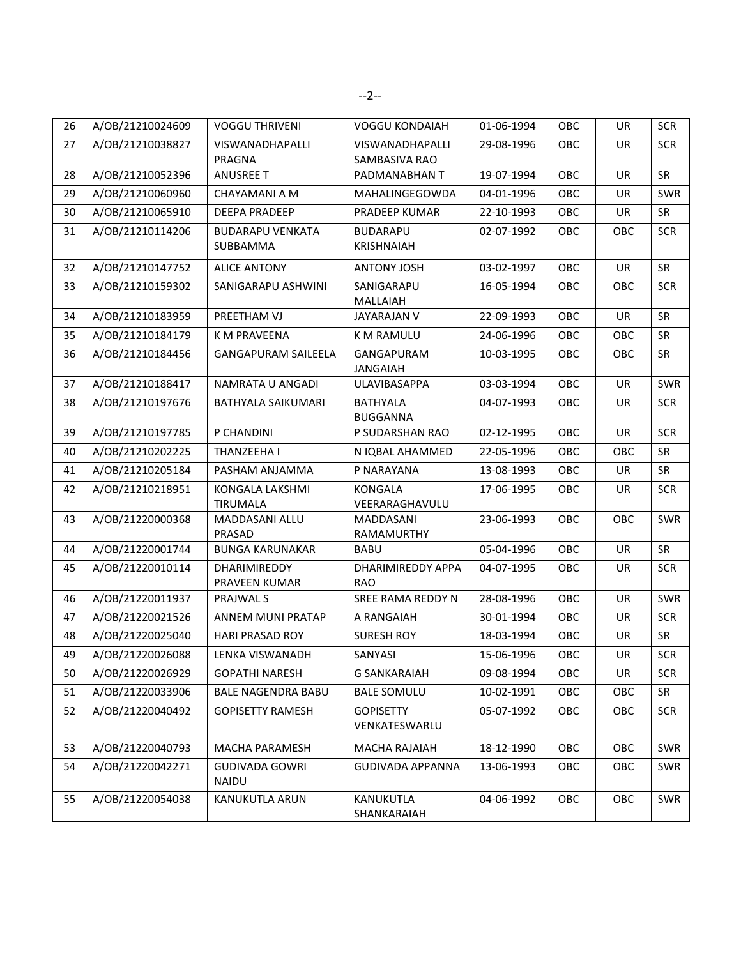| 26 | A/OB/21210024609 | <b>VOGGU THRIVENI</b>               | <b>VOGGU KONDAIAH</b>                | 01-06-1994 | OBC | UR        | <b>SCR</b> |
|----|------------------|-------------------------------------|--------------------------------------|------------|-----|-----------|------------|
| 27 | A/OB/21210038827 | VISWANADHAPALLI<br>PRAGNA           | VISWANADHAPALLI<br>SAMBASIVA RAO     | 29-08-1996 | OBC | UR        | <b>SCR</b> |
| 28 | A/OB/21210052396 | <b>ANUSREE T</b>                    | PADMANABHAN T                        | 19-07-1994 | OBC | UR        | <b>SR</b>  |
| 29 | A/OB/21210060960 | CHAYAMANI A M                       | MAHALINGEGOWDA                       | 04-01-1996 | OBC | UR        | SWR        |
| 30 | A/OB/21210065910 | DEEPA PRADEEP                       | PRADEEP KUMAR                        | 22-10-1993 | OBC | UR        | <b>SR</b>  |
| 31 | A/OB/21210114206 | <b>BUDARAPU VENKATA</b><br>SUBBAMMA | <b>BUDARAPU</b><br><b>KRISHNAIAH</b> | 02-07-1992 | OBC | OBC       | <b>SCR</b> |
| 32 | A/OB/21210147752 | <b>ALICE ANTONY</b>                 | <b>ANTONY JOSH</b>                   | 03-02-1997 | OBC | UR        | SR         |
| 33 | A/OB/21210159302 | SANIGARAPU ASHWINI                  | SANIGARAPU<br>MALLAIAH               | 16-05-1994 | OBC | OBC       | <b>SCR</b> |
| 34 | A/OB/21210183959 | PREETHAM VJ                         | <b>JAYARAJAN V</b>                   | 22-09-1993 | OBC | UR        | SR         |
| 35 | A/OB/21210184179 | K M PRAVEENA                        | <b>K M RAMULU</b>                    | 24-06-1996 | OBC | OBC       | <b>SR</b>  |
| 36 | A/OB/21210184456 | <b>GANGAPURAM SAILEELA</b>          | GANGAPURAM<br>JANGAIAH               | 10-03-1995 | OBC | OBC       | SR         |
| 37 | A/OB/21210188417 | NAMRATA U ANGADI                    | <b>ULAVIBASAPPA</b>                  | 03-03-1994 | OBC | UR        | SWR        |
| 38 | A/OB/21210197676 | BATHYALA SAIKUMARI                  | <b>BATHYALA</b><br><b>BUGGANNA</b>   | 04-07-1993 | OBC | UR        | <b>SCR</b> |
| 39 | A/OB/21210197785 | P CHANDINI                          | P SUDARSHAN RAO                      | 02-12-1995 | OBC | <b>UR</b> | <b>SCR</b> |
| 40 | A/OB/21210202225 | THANZEEHA I                         | N IQBAL AHAMMED                      | 22-05-1996 | OBC | OBC       | <b>SR</b>  |
| 41 | A/OB/21210205184 | PASHAM ANJAMMA                      | P NARAYANA                           | 13-08-1993 | OBC | UR        | <b>SR</b>  |
| 42 | A/OB/21210218951 | KONGALA LAKSHMI<br>TIRUMALA         | <b>KONGALA</b><br>VEERARAGHAVULU     | 17-06-1995 | OBC | UR        | <b>SCR</b> |
| 43 | A/OB/21220000368 | MADDASANI ALLU<br>PRASAD            | MADDASANI<br>RAMAMURTHY              | 23-06-1993 | OBC | OBC       | <b>SWR</b> |
| 44 | A/OB/21220001744 | <b>BUNGA KARUNAKAR</b>              | <b>BABU</b>                          | 05-04-1996 | OBC | <b>UR</b> | SR         |
| 45 | A/OB/21220010114 | DHARIMIREDDY<br>PRAVEEN KUMAR       | DHARIMIREDDY APPA<br><b>RAO</b>      | 04-07-1995 | OBC | UR        | <b>SCR</b> |
| 46 | A/OB/21220011937 | PRAJWAL S                           | SREE RAMA REDDY N                    | 28-08-1996 | OBC | <b>UR</b> | SWR        |
| 47 | A/OB/21220021526 | ANNEM MUNI PRATAP                   | A RANGAIAH                           | 30-01-1994 | OBC | UR        | <b>SCR</b> |
| 48 | A/OB/21220025040 | <b>HARI PRASAD ROY</b>              | <b>SURESH ROY</b>                    | 18-03-1994 | OBC | UR        | SR         |
| 49 | A/OB/21220026088 | LENKA VISWANADH                     | SANYASI                              | 15-06-1996 | OBC | UR        | <b>SCR</b> |
| 50 | A/OB/21220026929 | <b>GOPATHI NARESH</b>               | <b>G SANKARAIAH</b>                  | 09-08-1994 | OBC | UR        | <b>SCR</b> |
| 51 | A/OB/21220033906 | <b>BALE NAGENDRA BABU</b>           | <b>BALE SOMULU</b>                   | 10-02-1991 | OBC | OBC       | SR         |
| 52 | A/OB/21220040492 | <b>GOPISETTY RAMESH</b>             | <b>GOPISETTY</b><br>VENKATESWARLU    | 05-07-1992 | OBC | OBC       | <b>SCR</b> |
| 53 | A/OB/21220040793 | MACHA PARAMESH                      | MACHA RAJAIAH                        | 18-12-1990 | OBC | OBC       | SWR        |
| 54 | A/OB/21220042271 | <b>GUDIVADA GOWRI</b><br>NAIDU      | <b>GUDIVADA APPANNA</b>              | 13-06-1993 | OBC | OBC       | SWR        |
| 55 | A/OB/21220054038 | KANUKUTLA ARUN                      | <b>KANUKUTLA</b><br>SHANKARAIAH      | 04-06-1992 | OBC | OBC       | SWR        |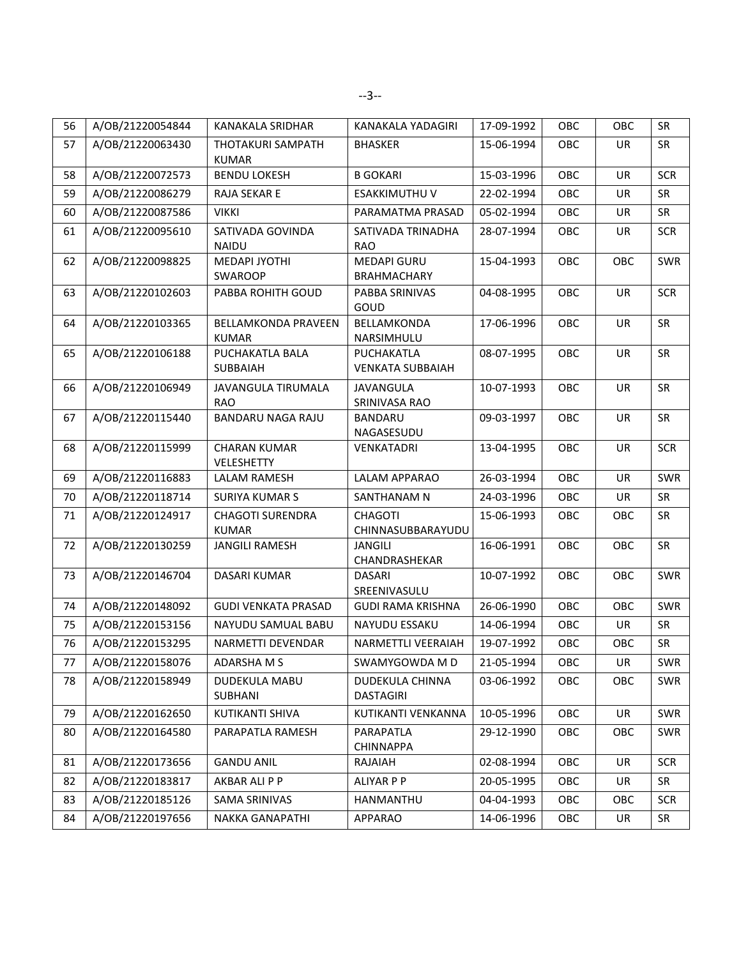| 56 | A/OB/21220054844 | KANAKALA SRIDHAR                           | KANAKALA YADAGIRI                        | 17-09-1992 | OBC | OBC       | <b>SR</b>  |
|----|------------------|--------------------------------------------|------------------------------------------|------------|-----|-----------|------------|
| 57 | A/OB/21220063430 | THOTAKURI SAMPATH<br><b>KUMAR</b>          | <b>BHASKER</b>                           | 15-06-1994 | OBC | UR        | <b>SR</b>  |
| 58 | A/OB/21220072573 | <b>BENDU LOKESH</b>                        | <b>B GOKARI</b>                          | 15-03-1996 | OBC | UR        | <b>SCR</b> |
| 59 | A/OB/21220086279 | <b>RAJA SEKAR E</b>                        | ESAKKIMUTHU V                            | 22-02-1994 | OBC | UR        | <b>SR</b>  |
| 60 | A/OB/21220087586 | <b>VIKKI</b>                               | PARAMATMA PRASAD                         | 05-02-1994 | OBC | <b>UR</b> | SR         |
| 61 | A/OB/21220095610 | SATIVADA GOVINDA<br><b>NAIDU</b>           | SATIVADA TRINADHA<br><b>RAO</b>          | 28-07-1994 | OBC | UR        | <b>SCR</b> |
| 62 | A/OB/21220098825 | MEDAPI JYOTHI<br>SWAROOP                   | <b>MEDAPI GURU</b><br><b>BRAHMACHARY</b> | 15-04-1993 | OBC | OBC       | SWR        |
| 63 | A/OB/21220102603 | PABBA ROHITH GOUD                          | PABBA SRINIVAS<br>GOUD                   | 04-08-1995 | OBC | UR        | <b>SCR</b> |
| 64 | A/OB/21220103365 | <b>BELLAMKONDA PRAVEEN</b><br><b>KUMAR</b> | BELLAMKONDA<br>NARSIMHULU                | 17-06-1996 | OBC | UR        | SR         |
| 65 | A/OB/21220106188 | PUCHAKATLA BALA<br><b>SUBBAIAH</b>         | PUCHAKATLA<br><b>VENKATA SUBBAIAH</b>    | 08-07-1995 | OBC | UR        | SR         |
| 66 | A/OB/21220106949 | JAVANGULA TIRUMALA<br><b>RAO</b>           | <b>JAVANGULA</b><br>SRINIVASA RAO        | 10-07-1993 | OBC | <b>UR</b> | <b>SR</b>  |
| 67 | A/OB/21220115440 | BANDARU NAGA RAJU                          | <b>BANDARU</b><br>NAGASESUDU             | 09-03-1997 | OBC | UR        | <b>SR</b>  |
| 68 | A/OB/21220115999 | <b>CHARAN KUMAR</b><br>VELESHETTY          | <b>VENKATADRI</b>                        | 13-04-1995 | OBC | UR        | <b>SCR</b> |
| 69 | A/OB/21220116883 | LALAM RAMESH                               | LALAM APPARAO                            | 26-03-1994 | OBC | UR        | SWR        |
| 70 | A/OB/21220118714 | <b>SURIYA KUMAR S</b>                      | SANTHANAM N                              | 24-03-1996 | OBC | UR        | <b>SR</b>  |
| 71 | A/OB/21220124917 | <b>CHAGOTI SURENDRA</b><br><b>KUMAR</b>    | <b>CHAGOTI</b><br>CHINNASUBBARAYUDU      | 15-06-1993 | OBC | OBC       | <b>SR</b>  |
| 72 | A/OB/21220130259 | <b>JANGILI RAMESH</b>                      | <b>JANGILI</b><br>CHANDRASHEKAR          | 16-06-1991 | OBC | OBC       | <b>SR</b>  |
| 73 | A/OB/21220146704 | DASARI KUMAR                               | <b>DASARI</b><br>SREENIVASULU            | 10-07-1992 | OBC | OBC       | SWR        |
| 74 | A/OB/21220148092 | <b>GUDI VENKATA PRASAD</b>                 | <b>GUDI RAMA KRISHNA</b>                 | 26-06-1990 | OBC | OBC       | SWR        |
| 75 | A/OB/21220153156 | NAYUDU SAMUAL BABU                         | NAYUDU ESSAKU                            | 14-06-1994 | OBC | UR        | <b>SR</b>  |
| 76 | A/OB/21220153295 | NARMETTI DEVENDAR                          | NARMETTLI VEERAIAH                       | 19-07-1992 | OBC | OBC       | <b>SR</b>  |
| 77 | A/OB/21220158076 | <b>ADARSHA M S</b>                         | SWAMYGOWDA M D                           | 21-05-1994 | OBC | UR        | SWR        |
| 78 | A/OB/21220158949 | DUDEKULA MABU<br>SUBHANI                   | DUDEKULA CHINNA<br><b>DASTAGIRI</b>      | 03-06-1992 | OBC | OBC       | SWR        |
| 79 | A/OB/21220162650 | KUTIKANTI SHIVA                            | KUTIKANTI VENKANNA                       | 10-05-1996 | OBC | UR        | SWR        |
| 80 | A/OB/21220164580 | PARAPATLA RAMESH                           | PARAPATLA<br><b>CHINNAPPA</b>            | 29-12-1990 | OBC | OBC       | SWR        |
| 81 | A/OB/21220173656 | <b>GANDU ANIL</b>                          | RAJAIAH                                  | 02-08-1994 | OBC | UR        | <b>SCR</b> |
| 82 | A/OB/21220183817 | AKBAR ALI P P                              | ALIYAR P P                               | 20-05-1995 | OBC | UR        | <b>SR</b>  |
| 83 | A/OB/21220185126 | SAMA SRINIVAS                              | HANMANTHU                                | 04-04-1993 | OBC | OBC       | <b>SCR</b> |
| 84 | A/OB/21220197656 | NAKKA GANAPATHI                            | APPARAO                                  | 14-06-1996 | OBC | UR        | SR         |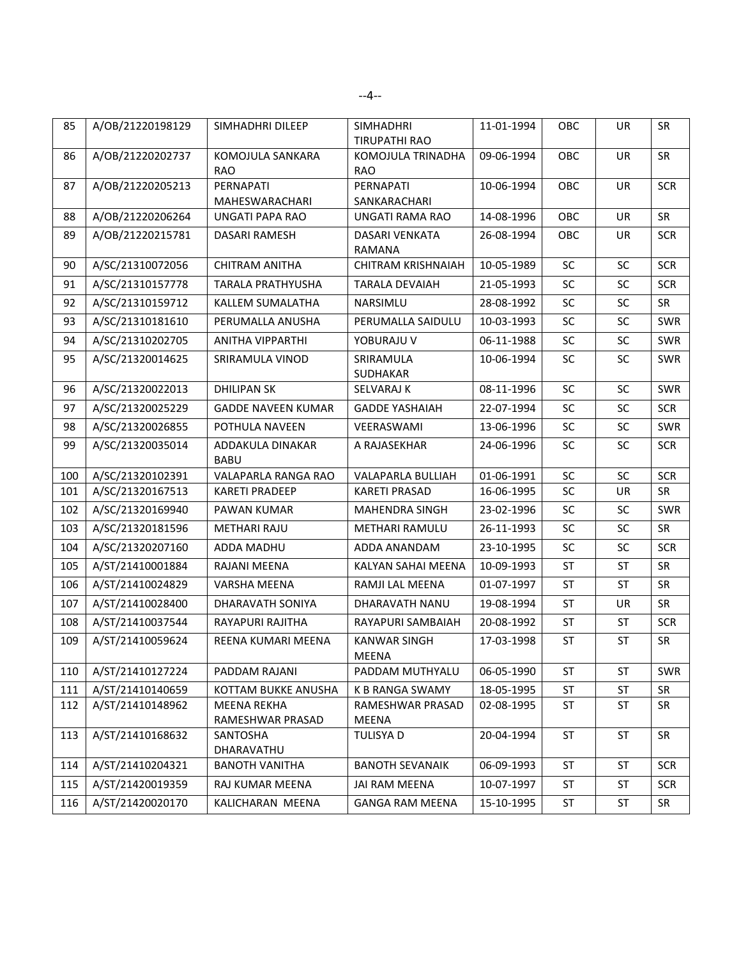| 85  | A/OB/21220198129 | SIMHADHRI DILEEP                | <b>SIMHADHRI</b><br><b>TIRUPATHI RAO</b> | 11-01-1994 | OBC       | <b>UR</b> | SR         |
|-----|------------------|---------------------------------|------------------------------------------|------------|-----------|-----------|------------|
| 86  | A/OB/21220202737 | KOMOJULA SANKARA<br><b>RAO</b>  | KOMOJULA TRINADHA<br><b>RAO</b>          | 09-06-1994 | OBC       | UR        | SR         |
| 87  | A/OB/21220205213 | PERNAPATI<br>MAHESWARACHARI     | <b>PERNAPATI</b><br>SANKARACHARI         | 10-06-1994 | OBC       | <b>UR</b> | <b>SCR</b> |
| 88  | A/OB/21220206264 | UNGATI PAPA RAO                 | UNGATI RAMA RAO                          | 14-08-1996 | OBC       | UR        | SR         |
| 89  | A/OB/21220215781 | DASARI RAMESH                   | DASARI VENKATA<br><b>RAMANA</b>          | 26-08-1994 | OBC       | UR        | <b>SCR</b> |
| 90  | A/SC/21310072056 | <b>CHITRAM ANITHA</b>           | <b>CHITRAM KRISHNAIAH</b>                | 10-05-1989 | SC        | SC        | <b>SCR</b> |
| 91  | A/SC/21310157778 | TARALA PRATHYUSHA               | <b>TARALA DEVAIAH</b>                    | 21-05-1993 | SC        | SC        | <b>SCR</b> |
| 92  | A/SC/21310159712 | KALLEM SUMALATHA                | NARSIMLU                                 | 28-08-1992 | SC        | SC        | SR         |
| 93  | A/SC/21310181610 | PERUMALLA ANUSHA                | PERUMALLA SAIDULU                        | 10-03-1993 | SC        | SC        | <b>SWR</b> |
| 94  | A/SC/21310202705 | ANITHA VIPPARTHI                | YOBURAJU V                               | 06-11-1988 | SC        | SC        | SWR        |
| 95  | A/SC/21320014625 | SRIRAMULA VINOD                 | SRIRAMULA<br>SUDHAKAR                    | 10-06-1994 | <b>SC</b> | SC        | SWR        |
| 96  | A/SC/21320022013 | <b>DHILIPAN SK</b>              | SELVARAJ K                               | 08-11-1996 | SC        | SC        | SWR        |
| 97  | A/SC/21320025229 | <b>GADDE NAVEEN KUMAR</b>       | <b>GADDE YASHAIAH</b>                    | 22-07-1994 | <b>SC</b> | <b>SC</b> | <b>SCR</b> |
| 98  | A/SC/21320026855 | POTHULA NAVEEN                  | VEERASWAMI                               | 13-06-1996 | SC        | SC        | SWR        |
| 99  | A/SC/21320035014 | ADDAKULA DINAKAR<br><b>BABU</b> | A RAJASEKHAR                             | 24-06-1996 | SC        | <b>SC</b> | <b>SCR</b> |
| 100 | A/SC/21320102391 | VALAPARLA RANGA RAO             | VALAPARLA BULLIAH                        | 01-06-1991 | SC        | SC        | <b>SCR</b> |
| 101 | A/SC/21320167513 | <b>KARETI PRADEEP</b>           | <b>KARETI PRASAD</b>                     | 16-06-1995 | SC        | <b>UR</b> | <b>SR</b>  |
| 102 | A/SC/21320169940 | PAWAN KUMAR                     | MAHENDRA SINGH                           | 23-02-1996 | SC        | <b>SC</b> | SWR        |
| 103 | A/SC/21320181596 | <b>METHARI RAJU</b>             | METHARI RAMULU                           | 26-11-1993 | SC        | SC        | SR         |
| 104 | A/SC/21320207160 | ADDA MADHU                      | ADDA ANANDAM                             | 23-10-1995 | SC        | SC        | <b>SCR</b> |
| 105 | A/ST/21410001884 | RAJANI MEENA                    | KALYAN SAHAI MEENA                       | 10-09-1993 | <b>ST</b> | <b>ST</b> | <b>SR</b>  |
| 106 | A/ST/21410024829 | VARSHA MEENA                    | RAMJI LAL MEENA                          | 01-07-1997 | <b>ST</b> | ST        | <b>SR</b>  |
| 107 | A/ST/21410028400 | DHARAVATH SONIYA                | DHARAVATH NANU                           | 19-08-1994 | ST        | UR        | SR         |
| 108 | A/ST/21410037544 | RAYAPURI RAJITHA                | RAYAPURI SAMBAIAH                        | 20-08-1992 | <b>ST</b> | <b>ST</b> | <b>SCR</b> |
| 109 | A/ST/21410059624 | REENA KUMARI MEENA              | <b>KANWAR SINGH</b><br>MEENA             | 17-03-1998 | ST        | <b>ST</b> | <b>SR</b>  |
| 110 | A/ST/21410127224 | PADDAM RAJANI                   | PADDAM MUTHYALU                          | 06-05-1990 | <b>ST</b> | <b>ST</b> | SWR        |
| 111 | A/ST/21410140659 | KOTTAM BUKKE ANUSHA             | K B RANGA SWAMY                          | 18-05-1995 | ST        | ST        | <b>SR</b>  |
| 112 | A/ST/21410148962 | MEENA REKHA<br>RAMESHWAR PRASAD | RAMESHWAR PRASAD<br>MEENA                | 02-08-1995 | ST        | ST        | <b>SR</b>  |
| 113 | A/ST/21410168632 | SANTOSHA<br>DHARAVATHU          | <b>TULISYA D</b>                         | 20-04-1994 | ST        | ST        | SR         |
| 114 | A/ST/21410204321 | <b>BANOTH VANITHA</b>           | <b>BANOTH SEVANAIK</b>                   | 06-09-1993 | ST        | <b>ST</b> | <b>SCR</b> |
| 115 | A/ST/21420019359 | RAJ KUMAR MEENA                 | JAI RAM MEENA                            | 10-07-1997 | ST        | ST        | <b>SCR</b> |
| 116 | A/ST/21420020170 | KALICHARAN MEENA                | <b>GANGA RAM MEENA</b>                   | 15-10-1995 | ST        | ST        | SR         |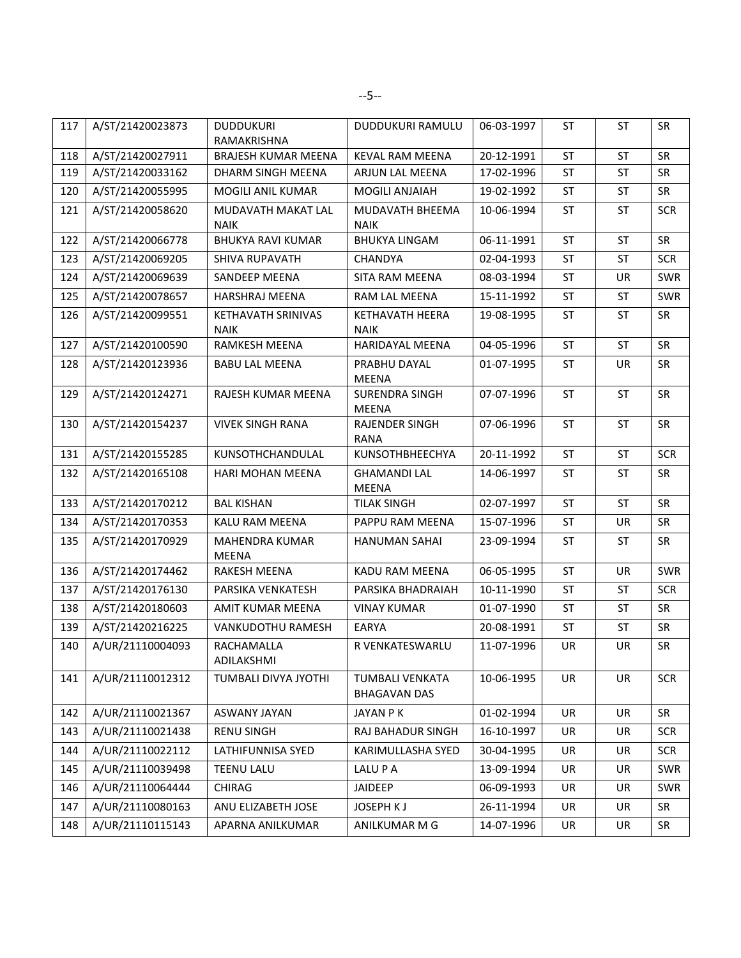| 117 | A/ST/21420023873 | <b>DUDDUKURI</b><br>RAMAKRISHNA   | <b>DUDDUKURI RAMULU</b>                | 06-03-1997 | <b>ST</b> | <b>ST</b> | SR         |
|-----|------------------|-----------------------------------|----------------------------------------|------------|-----------|-----------|------------|
| 118 | A/ST/21420027911 | <b>BRAJESH KUMAR MEENA</b>        | <b>KEVAL RAM MEENA</b>                 | 20-12-1991 | ST        | <b>ST</b> | SR         |
| 119 | A/ST/21420033162 | DHARM SINGH MEENA                 | ARJUN LAL MEENA                        | 17-02-1996 | <b>ST</b> | <b>ST</b> | <b>SR</b>  |
| 120 | A/ST/21420055995 | MOGILI ANIL KUMAR                 | <b>MOGILI ANJAIAH</b>                  | 19-02-1992 | ST        | <b>ST</b> | <b>SR</b>  |
| 121 | A/ST/21420058620 | MUDAVATH MAKAT LAL<br><b>NAIK</b> | MUDAVATH BHEEMA<br><b>NAIK</b>         | 10-06-1994 | <b>ST</b> | <b>ST</b> | <b>SCR</b> |
| 122 | A/ST/21420066778 | <b>BHUKYA RAVI KUMAR</b>          | <b>BHUKYA LINGAM</b>                   | 06-11-1991 | ST        | <b>ST</b> | SR         |
| 123 | A/ST/21420069205 | SHIVA RUPAVATH                    | CHANDYA                                | 02-04-1993 | <b>ST</b> | <b>ST</b> | <b>SCR</b> |
| 124 | A/ST/21420069639 | SANDEEP MEENA                     | SITA RAM MEENA                         | 08-03-1994 | <b>ST</b> | UR        | SWR        |
| 125 | A/ST/21420078657 | HARSHRAJ MEENA                    | RAM LAL MEENA                          | 15-11-1992 | ST        | ST        | SWR        |
| 126 | A/ST/21420099551 | KETHAVATH SRINIVAS<br><b>NAIK</b> | <b>KETHAVATH HEERA</b><br><b>NAIK</b>  | 19-08-1995 | <b>ST</b> | <b>ST</b> | <b>SR</b>  |
| 127 | A/ST/21420100590 | RAMKESH MEENA                     | <b>HARIDAYAL MEENA</b>                 | 04-05-1996 | <b>ST</b> | ST        | <b>SR</b>  |
| 128 | A/ST/21420123936 | <b>BABU LAL MEENA</b>             | PRABHU DAYAL<br><b>MEENA</b>           | 01-07-1995 | <b>ST</b> | <b>UR</b> | SR         |
| 129 | A/ST/21420124271 | RAJESH KUMAR MEENA                | <b>SURENDRA SINGH</b><br>MEENA         | 07-07-1996 | <b>ST</b> | <b>ST</b> | <b>SR</b>  |
| 130 | A/ST/21420154237 | <b>VIVEK SINGH RANA</b>           | <b>RAJENDER SINGH</b><br><b>RANA</b>   | 07-06-1996 | <b>ST</b> | <b>ST</b> | <b>SR</b>  |
| 131 | A/ST/21420155285 | KUNSOTHCHANDULAL                  | KUNSOTHBHEECHYA                        | 20-11-1992 | <b>ST</b> | ST        | <b>SCR</b> |
| 132 | A/ST/21420165108 | HARI MOHAN MEENA                  | <b>GHAMANDI LAL</b><br><b>MEENA</b>    | 14-06-1997 | <b>ST</b> | ST        | SR         |
| 133 | A/ST/21420170212 | <b>BAL KISHAN</b>                 | <b>TILAK SINGH</b>                     | 02-07-1997 | <b>ST</b> | <b>ST</b> | SR         |
| 134 | A/ST/21420170353 | KALU RAM MEENA                    | PAPPU RAM MEENA                        | 15-07-1996 | <b>ST</b> | UR        | SR         |
| 135 | A/ST/21420170929 | MAHENDRA KUMAR<br>MEENA           | <b>HANUMAN SAHAI</b>                   | 23-09-1994 | <b>ST</b> | ST        | <b>SR</b>  |
| 136 | A/ST/21420174462 | <b>RAKESH MEENA</b>               | <b>KADU RAM MEENA</b>                  | 06-05-1995 | <b>ST</b> | UR        | SWR        |
| 137 | A/ST/21420176130 | PARSIKA VENKATESH                 | PARSIKA BHADRAIAH                      | 10-11-1990 | <b>ST</b> | <b>ST</b> | <b>SCR</b> |
| 138 | A/ST/21420180603 | AMIT KUMAR MEENA                  | <b>VINAY KUMAR</b>                     | 01-07-1990 | <b>ST</b> | ST        | <b>SR</b>  |
| 139 | A/ST/21420216225 | VANKUDOTHU RAMESH                 | EARYA                                  | 20-08-1991 | <b>ST</b> | <b>ST</b> | SR         |
| 140 | A/UR/21110004093 | RACHAMALLA<br>ADILAKSHMI          | R VENKATESWARLU                        | 11-07-1996 | UR        | UR        | <b>SR</b>  |
| 141 | A/UR/21110012312 | TUMBALI DIVYA JYOTHI              | TUMBALI VENKATA<br><b>BHAGAVAN DAS</b> | 10-06-1995 | UR        | UR        | <b>SCR</b> |
| 142 | A/UR/21110021367 | ASWANY JAYAN                      | JAYAN P K                              | 01-02-1994 | UR        | UR        | SR         |
| 143 | A/UR/21110021438 | <b>RENU SINGH</b>                 | RAJ BAHADUR SINGH                      | 16-10-1997 | UR        | UR        | <b>SCR</b> |
| 144 | A/UR/21110022112 | LATHIFUNNISA SYED                 | KARIMULLASHA SYED                      | 30-04-1995 | UR        | UR        | <b>SCR</b> |
| 145 | A/UR/21110039498 | <b>TEENU LALU</b>                 | LALU P A                               | 13-09-1994 | UR        | UR        | SWR        |
| 146 | A/UR/21110064444 | CHIRAG                            | JAIDEEP                                | 06-09-1993 | UR        | UR        | SWR        |
| 147 | A/UR/21110080163 | ANU ELIZABETH JOSE                | JOSEPH K J                             | 26-11-1994 | UR        | UR        | <b>SR</b>  |
| 148 | A/UR/21110115143 | APARNA ANILKUMAR                  | ANILKUMAR M G                          | 14-07-1996 | UR        | UR        | SR         |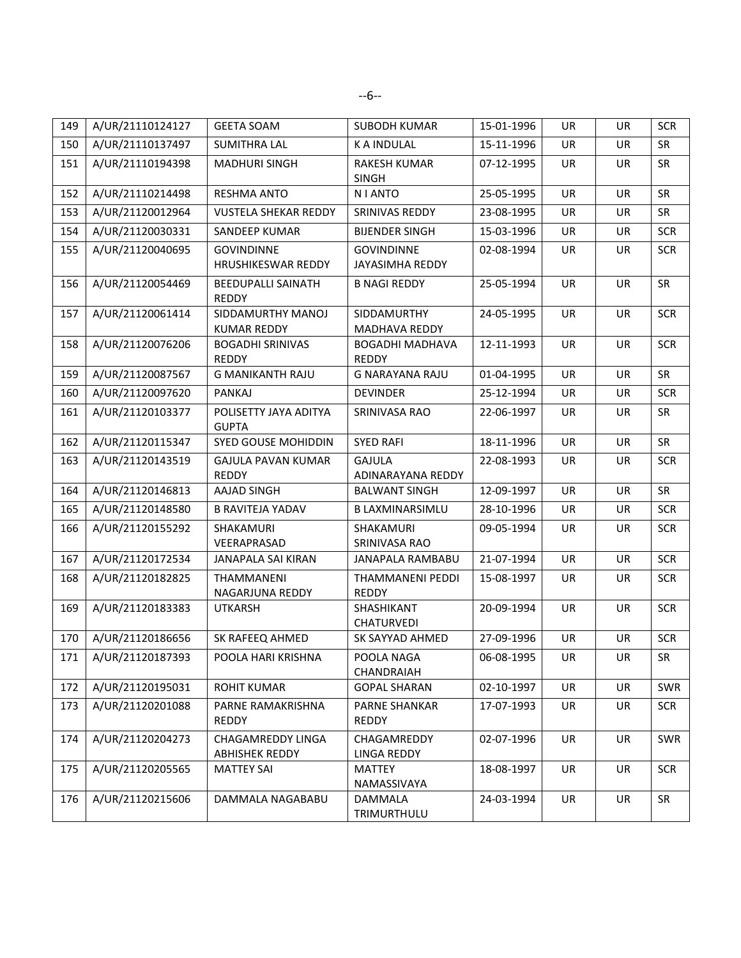| 149 | A/UR/21110124127 | <b>GEETA SOAM</b>                          | <b>SUBODH KUMAR</b>                    | 15-01-1996 | UR | UR        | <b>SCR</b> |
|-----|------------------|--------------------------------------------|----------------------------------------|------------|----|-----------|------------|
| 150 | A/UR/21110137497 | <b>SUMITHRA LAL</b>                        | <b>KA INDULAL</b>                      | 15-11-1996 | UR | <b>UR</b> | <b>SR</b>  |
| 151 | A/UR/21110194398 | <b>MADHURI SINGH</b>                       | <b>RAKESH KUMAR</b><br><b>SINGH</b>    | 07-12-1995 | UR | <b>UR</b> | <b>SR</b>  |
| 152 | A/UR/21110214498 | <b>RESHMA ANTO</b>                         | <b>NIANTO</b>                          | 25-05-1995 | UR | <b>UR</b> | <b>SR</b>  |
| 153 | A/UR/21120012964 | <b>VUSTELA SHEKAR REDDY</b>                | SRINIVAS REDDY                         | 23-08-1995 | UR | UR        | SR         |
| 154 | A/UR/21120030331 | SANDEEP KUMAR                              | <b>BIJENDER SINGH</b>                  | 15-03-1996 | UR | <b>UR</b> | <b>SCR</b> |
| 155 | A/UR/21120040695 | <b>GOVINDINNE</b><br>HRUSHIKESWAR REDDY    | <b>GOVINDINNE</b><br>JAYASIMHA REDDY   | 02-08-1994 | UR | <b>UR</b> | <b>SCR</b> |
| 156 | A/UR/21120054469 | <b>BEEDUPALLI SAINATH</b><br><b>REDDY</b>  | <b>B NAGI REDDY</b>                    | 25-05-1994 | UR | <b>UR</b> | <b>SR</b>  |
| 157 | A/UR/21120061414 | SIDDAMURTHY MANOJ                          | SIDDAMURTHY                            | 24-05-1995 | UR | UR        | <b>SCR</b> |
|     |                  | <b>KUMAR REDDY</b>                         | MADHAVA REDDY                          |            |    |           |            |
| 158 | A/UR/21120076206 | <b>BOGADHI SRINIVAS</b><br><b>REDDY</b>    | <b>BOGADHI MADHAVA</b><br><b>REDDY</b> | 12-11-1993 | UR | UR        | <b>SCR</b> |
| 159 | A/UR/21120087567 | <b>G MANIKANTH RAJU</b>                    | <b>G NARAYANA RAJU</b>                 | 01-04-1995 | UR | UR        | SR         |
| 160 | A/UR/21120097620 | PANKAJ                                     | <b>DEVINDER</b>                        | 25-12-1994 | UR | UR        | <b>SCR</b> |
| 161 | A/UR/21120103377 | POLISETTY JAYA ADITYA<br><b>GUPTA</b>      | SRINIVASA RAO                          | 22-06-1997 | UR | <b>UR</b> | SR         |
| 162 | A/UR/21120115347 | SYED GOUSE MOHIDDIN                        | <b>SYED RAFI</b>                       | 18-11-1996 | UR | UR        | SR         |
| 163 | A/UR/21120143519 | GAJULA PAVAN KUMAR<br><b>REDDY</b>         | <b>GAJULA</b><br>ADINARAYANA REDDY     | 22-08-1993 | UR | <b>UR</b> | <b>SCR</b> |
| 164 | A/UR/21120146813 | <b>AAJAD SINGH</b>                         | <b>BALWANT SINGH</b>                   | 12-09-1997 | UR | UR        | SR         |
| 165 | A/UR/21120148580 | <b>B RAVITEJA YADAV</b>                    | <b>B LAXMINARSIMLU</b>                 | 28-10-1996 | UR | UR        | <b>SCR</b> |
| 166 | A/UR/21120155292 | SHAKAMURI<br>VEERAPRASAD                   | SHAKAMURI<br>SRINIVASA RAO             | 09-05-1994 | UR | <b>UR</b> | <b>SCR</b> |
| 167 | A/UR/21120172534 | JANAPALA SAI KIRAN                         | JANAPALA RAMBABU                       | 21-07-1994 | UR | <b>UR</b> | <b>SCR</b> |
| 168 | A/UR/21120182825 | THAMMANENI<br>NAGARJUNA REDDY              | THAMMANENI PEDDI<br><b>REDDY</b>       | 15-08-1997 | UR | <b>UR</b> | <b>SCR</b> |
| 169 | A/UR/21120183383 | <b>UTKARSH</b>                             | SHASHIKANT<br>CHATURVEDI               | 20-09-1994 | UR | <b>UR</b> | <b>SCR</b> |
| 170 | A/UR/21120186656 | SK RAFEEQ AHMED                            | SK SAYYAD AHMED                        | 27-09-1996 | UR | UR        | <b>SCR</b> |
| 171 | A/UR/21120187393 | POOLA HARI KRISHNA                         | POOLA NAGA<br>CHANDRAIAH               | 06-08-1995 | UR | UR        | SR         |
| 172 | A/UR/21120195031 | <b>ROHIT KUMAR</b>                         | <b>GOPAL SHARAN</b>                    | 02-10-1997 | UR | UR        | SWR        |
| 173 | A/UR/21120201088 | PARNE RAMAKRISHNA<br>REDDY                 | <b>PARNE SHANKAR</b><br>REDDY          | 17-07-1993 | UR | UR        | <b>SCR</b> |
| 174 | A/UR/21120204273 | CHAGAMREDDY LINGA<br><b>ABHISHEK REDDY</b> | CHAGAMREDDY<br>LINGA REDDY             | 02-07-1996 | UR | UR        | SWR        |
| 175 | A/UR/21120205565 | <b>MATTEY SAI</b>                          | <b>MATTEY</b><br>NAMASSIVAYA           | 18-08-1997 | UR | UR        | <b>SCR</b> |
| 176 | A/UR/21120215606 | DAMMALA NAGABABU                           | DAMMALA<br>TRIMURTHULU                 | 24-03-1994 | UR | UR        | SR         |